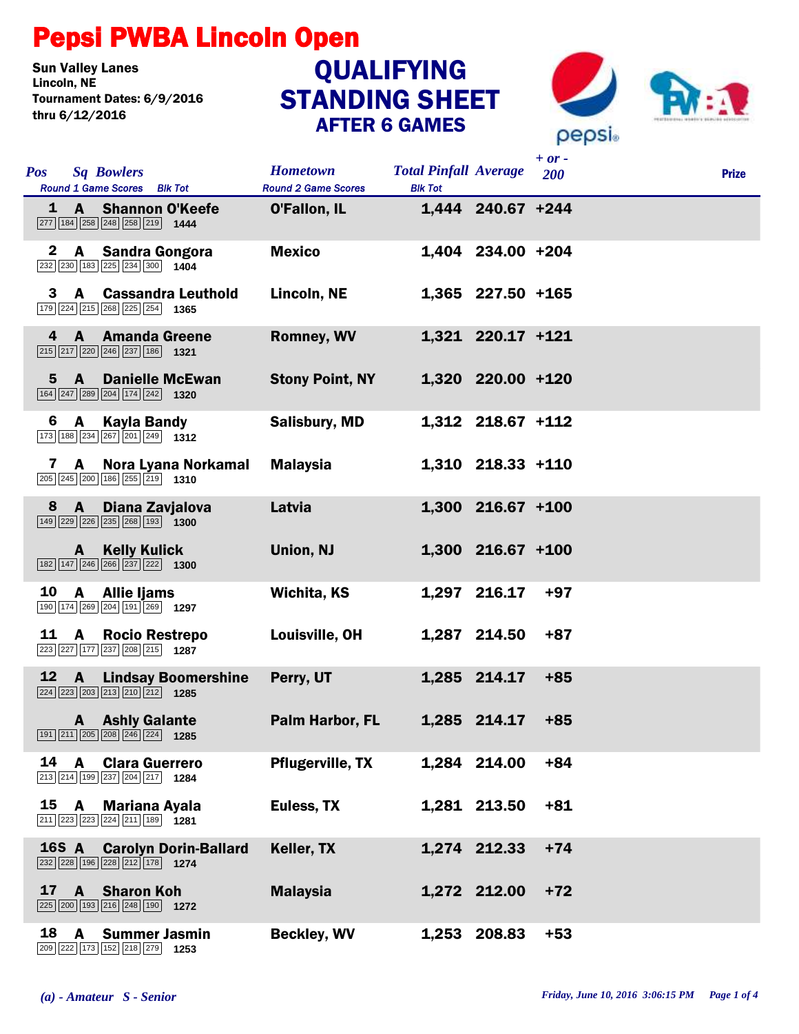## Pepsi PWBA Lincoln Open

**Sun Valley Lanes<br>Lincoln. NE** Tournament Dates: 6/9/2016 thru 6/12/2016

## STANDING SHEET AFTER 6 GAMES **QUALIFYING**



|              |                |                                                                                                                               |                                               |                                                |                     | $+ or -$ |              |
|--------------|----------------|-------------------------------------------------------------------------------------------------------------------------------|-----------------------------------------------|------------------------------------------------|---------------------|----------|--------------|
| <b>Pos</b>   |                | <b>Sq Bowlers</b><br>Round 1 Game Scores Blk Tot                                                                              | <b>Hometown</b><br><b>Round 2 Game Scores</b> | <b>Total Pinfall Average</b><br><b>Blk Tot</b> |                     | 200      | <b>Prize</b> |
|              |                | 1 A Shannon O'Keefe<br>$\boxed{277}$ 184 $\boxed{258}$ $\boxed{248}$ $\boxed{258}$ $\boxed{219}$ 1444                         | <b>O'Fallon, IL</b>                           |                                                | 1,444 240.67 +244   |          |              |
| $\mathbf{2}$ |                | A Sandra Gongora<br>232 230 183 225 234 300 1404                                                                              | <b>Mexico</b>                                 |                                                | 1,404 234.00 +204   |          |              |
| 3            | $\mathbf{A}$   | <b>Cassandra Leuthold</b><br>179 224 215 268 225 254 1365                                                                     | Lincoln, NE                                   |                                                | $1,365$ 227.50 +165 |          |              |
| 4            | $\mathbf{A}$   | <b>Amanda Greene</b><br>215 217 220 246 237 186 1321                                                                          | Romney, WV                                    |                                                | 1,321 220.17 +121   |          |              |
| $5^{\circ}$  |                | <b>A</b> Danielle McEwan<br>$\boxed{164}$ $\boxed{247}$ $\boxed{289}$ $\boxed{204}$ $\boxed{174}$ $\boxed{242}$ <b>1320</b>   | <b>Stony Point, NY</b>                        |                                                | 1,320 220.00 +120   |          |              |
| 6            | A              | <b>Kayla Bandy</b><br>$\boxed{173}$ $\boxed{188}$ $\boxed{234}$ $\boxed{267}$ $\boxed{201}$ $\boxed{249}$ $\boxed{1312}$      | Salisbury, MD                                 |                                                | 1,312 218.67 +112   |          |              |
| 7            | $\mathbf{A}$   | Nora Lyana Norkamal<br>$\boxed{205}$ $\boxed{245}$ $\boxed{200}$ $\boxed{186}$ $\boxed{255}$ $\boxed{219}$ <b>1310</b>        | <b>Malaysia</b>                               |                                                | 1,310 218.33 +110   |          |              |
| 8            | $\mathbf{A}$   | Diana Zavjalova<br>$\boxed{149}$ $\boxed{229}$ $\boxed{226}$ $\boxed{235}$ $\boxed{268}$ $\boxed{193}$ <b>1300</b>            | Latvia                                        |                                                | 1,300 216.67 +100   |          |              |
|              | $\mathbf{A}$   | <b>Kelly Kulick</b><br>$\boxed{182}$ $\boxed{147}$ $\boxed{246}$ $\boxed{266}$ $\boxed{237}$ $\boxed{222}$ <b>1300</b>        | Union, NJ                                     |                                                | 1,300 216.67 +100   |          |              |
| 10           | $\mathbf{A}$   | Allie Ijams<br>190 174 269 204 191 269 1297                                                                                   | Wichita, KS                                   |                                                | 1,297 216.17        | $+97$    |              |
| 11           | <b>A</b>       | <b>Rocio Restrepo</b><br>223 227 177 237 208 215 1287                                                                         | Louisville, OH                                |                                                | 1,287 214.50        | $+87$    |              |
| 12           | $\overline{A}$ | <b>Lindsay Boomershine</b><br>$\boxed{224}$ $\boxed{223}$ $\boxed{203}$ $\boxed{213}$ $\boxed{210}$ $\boxed{212}$ <b>1285</b> | Perry, UT                                     |                                                | 1,285 214.17        | $+85$    |              |
|              |                | <b>A</b> Ashly Galante<br>191 211 205 208 246 224 1285                                                                        | Palm Harbor, FL                               |                                                | 1,285 214.17        | $+85$    |              |
| 14           | $\mathbf{A}$   | <b>Clara Guerrero</b><br>213 214 199 237 204 217 1284                                                                         | <b>Pflugerville, TX</b>                       |                                                | 1,284 214.00        | $+84$    |              |
| 15           | A              | <b>Mariana Ayala</b><br>211 223 223 224 211 189 1281                                                                          | Euless, TX                                    |                                                | 1,281 213.50        | $+81$    |              |
|              | 16S A          | <b>Carolyn Dorin-Ballard</b><br>232 228 196 228 212 178 1274                                                                  | Keller, TX                                    |                                                | 1,274 212.33        | $+74$    |              |
| 17           | $\mathbf{A}$   | <b>Sharon Koh</b><br>225 200 193 216 248 190 1272                                                                             | <b>Malaysia</b>                               |                                                | 1,272 212.00        | $+72$    |              |
| 18           | A              | <b>Summer Jasmin</b><br>209 222 173 152 218 279 1253                                                                          | <b>Beckley, WV</b>                            |                                                | 1,253 208.83        | $+53$    |              |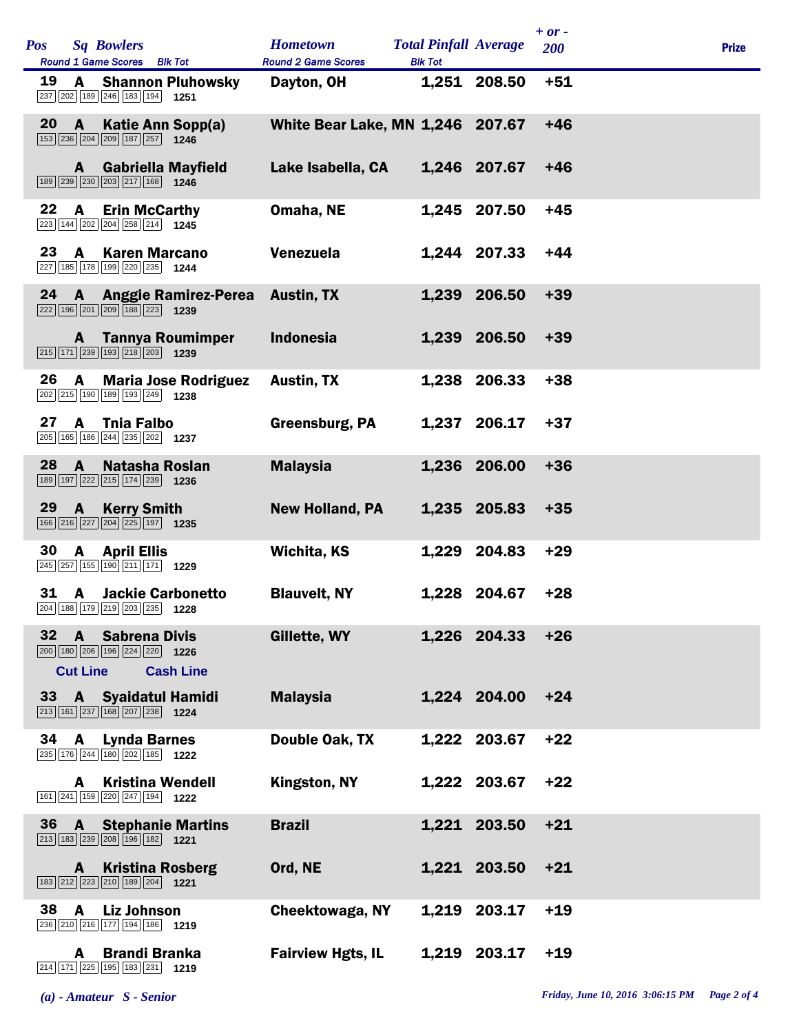| <b>Pos</b> |                                 | <b>Sq Bowlers</b>                                                                                                | <b>Hometown</b>                  | <b>Total Pinfall Average</b> |              | $+ or -$   |              |
|------------|---------------------------------|------------------------------------------------------------------------------------------------------------------|----------------------------------|------------------------------|--------------|------------|--------------|
|            |                                 | Round 1 Game Scores Blk Tot                                                                                      | <b>Round 2 Game Scores</b>       | <b>Blk Tot</b>               |              | <b>200</b> | <b>Prize</b> |
| 19         | A                               | <b>Shannon Pluhowsky</b><br>237 202 189 246 183 194<br>1251                                                      | Dayton, OH                       |                              | 1,251 208.50 | $+51$      |              |
| 20         | $\mathbf{A}$                    | Katie Ann Sopp(a)<br>153 236 204 209 187 257 1246                                                                | White Bear Lake, MN 1,246 207.67 |                              |              | $+46$      |              |
|            | A                               | <b>Gabriella Mayfield</b><br>189 239 230 203 217 168 1246                                                        | Lake Isabella, CA                |                              | 1,246 207.67 | $+46$      |              |
| 22         | A                               | <b>Erin McCarthy</b><br>223 144 202 204 258 214 1245                                                             | Omaha, NE                        |                              | 1,245 207.50 | $+45$      |              |
| 23         | A                               | <b>Karen Marcano</b><br>227 185 178 199 220 235 1244                                                             | Venezuela                        |                              | 1,244 207.33 | $+44$      |              |
| 24         |                                 | A Anggie Ramirez-Perea<br>222 196 201 209 188 223 1239                                                           | <b>Austin, TX</b>                |                              | 1,239 206.50 | $+39$      |              |
|            | A                               | <b>Tannya Roumimper</b><br>$\boxed{215}$ 171 239 193 218 203 1239                                                | <b>Indonesia</b>                 |                              | 1,239 206.50 | $+39$      |              |
| 26         | A                               | <b>Maria Jose Rodriguez</b><br>202 215 190 189 193 249 1238                                                      | <b>Austin, TX</b>                |                              | 1,238 206.33 | $+38$      |              |
| 27         | $\mathbf{A}$                    | <b>Thia Falbo</b><br>205 165 186 244 235 202 1237                                                                | Greensburg, PA                   |                              | 1,237 206.17 | $+37$      |              |
| 28         | $\mathbf{A}$                    | <b>Natasha Roslan</b><br>189 197 222 215 174 239 1236                                                            | <b>Malaysia</b>                  |                              | 1,236 206.00 | $+36$      |              |
| 29         | $\mathbf{A}$                    | <b>Kerry Smith</b><br>166 216 227 204 225 197 1235                                                               | <b>New Holland, PA</b>           |                              | 1,235 205.83 | $+35$      |              |
| 30         | A                               | <b>April Ellis</b><br>245 257 155 190 211 171 1229                                                               | Wichita, KS                      | 1,229                        | 204.83       | $+29$      |              |
| 31         | <b>A</b>                        | <b>Jackie Carbonetto</b><br>204 188 179 219 203 235 1228                                                         | <b>Blauvelt, NY</b>              | 1,228                        | 204.67       | $+28$      |              |
| 32         | $\mathbf{A}$<br><b>Cut Line</b> | <b>Sabrena Divis</b><br>200 180 206 196 224 220 1226<br><b>Cash Line</b>                                         | Gillette, WY                     |                              | 1,226 204.33 | $+26$      |              |
|            |                                 | 33 A Syaidatul Hamidi<br>$\boxed{213}$ 161 237 168 207 238 1224                                                  | <b>Malaysia</b>                  |                              | 1,224 204.00 | $+24$      |              |
| 34         | $\mathbf{A}$                    | <b>Lynda Barnes</b><br>235 176 244 180 202 185 1222                                                              | Double Oak, TX                   |                              | 1,222 203.67 | $+22$      |              |
|            | A                               | <b>Kristina Wendell</b><br>161 241 159 220 247 194 1222                                                          | Kingston, NY                     |                              | 1,222 203.67 | $+22$      |              |
| 36         | $\mathbf{A}$                    | <b>Stephanie Martins</b><br>213 183 239 208 196 182 1221                                                         | <b>Brazil</b>                    |                              | 1,221 203.50 | $+21$      |              |
|            | A                               | <b>Kristina Rosberg</b><br>183 212 223 210 189 204 1221                                                          | Ord, NE                          |                              | 1,221 203.50 | $+21$      |              |
| 38         | $\mathbf{A}$                    | <b>Liz Johnson</b><br>236 210 216 177 194 186 1219                                                               | <b>Cheektowaga, NY</b>           | 1,219                        | 203.17       | $+19$      |              |
|            | A                               | <b>Brandi Branka</b><br>$\boxed{214}$ $\boxed{171}$ $\boxed{225}$ $\boxed{195}$ $\boxed{183}$ $\boxed{231}$ 1219 | <b>Fairview Hgts, IL</b>         |                              | 1,219 203.17 | $+19$      |              |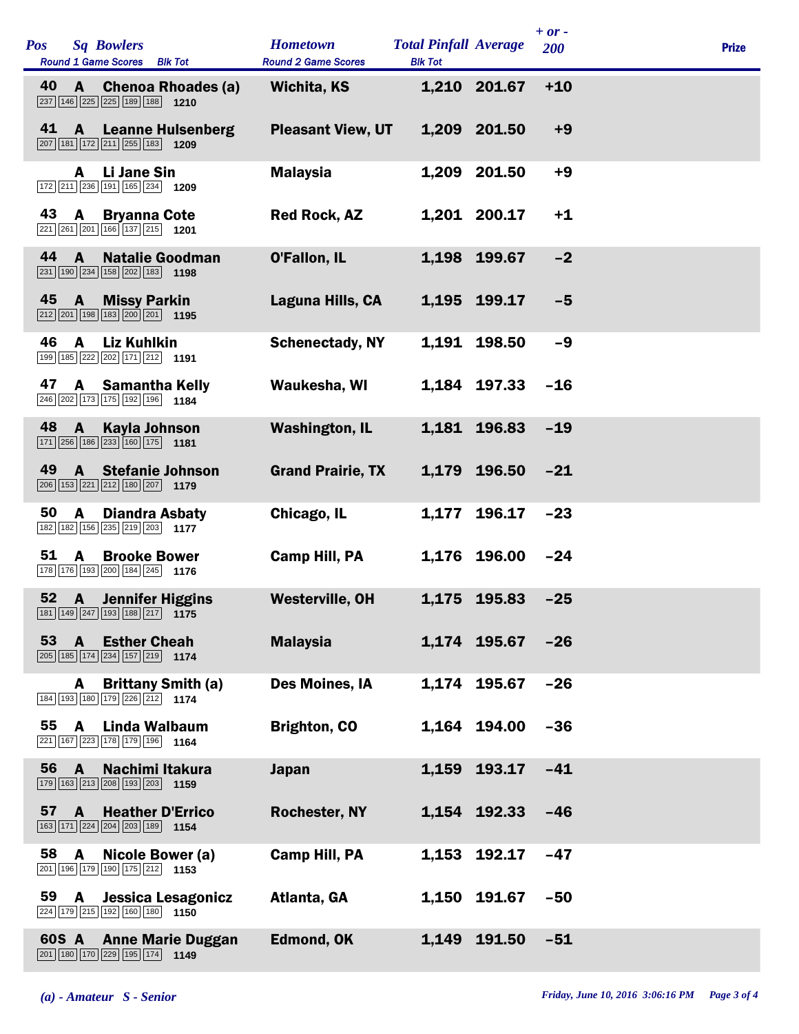| Pos | <b>Sq Bowlers</b><br><b>Round 1 Game Scores</b><br><b>Blk Tot</b>                                                                          | <b>Hometown</b><br><b>Round 2 Game Scores</b> | <b>Total Pinfall Average</b><br><b>Blk Tot</b> |              | $+ or -$<br>200 | <b>Prize</b> |
|-----|--------------------------------------------------------------------------------------------------------------------------------------------|-----------------------------------------------|------------------------------------------------|--------------|-----------------|--------------|
| 40  | <b>Chenoa Rhoades (a)</b><br>$\mathbf{A}$<br>$\boxed{237}$ 146 $\boxed{225}$ 225 189 188 1210                                              | <b>Wichita, KS</b>                            |                                                | 1,210 201.67 | $+10$           |              |
| 41  | A<br><b>Leanne Hulsenberg</b><br>$\boxed{207}$ 181 172 211 255 183 1209                                                                    | <b>Pleasant View, UT</b>                      |                                                | 1,209 201.50 | $+9$            |              |
|     | Li Jane Sin<br>A<br>172 211 236 191 165 234 1209                                                                                           | <b>Malaysia</b>                               |                                                | 1,209 201.50 | $+9$            |              |
| 43  | <b>Bryanna Cote</b><br>A<br>221 261 201 166 137 215 1201                                                                                   | <b>Red Rock, AZ</b>                           |                                                | 1,201 200.17 | $+1$            |              |
| 44  | $\mathbf{A}$<br><b>Natalie Goodman</b><br>$\boxed{231}$ 190 $\boxed{234}$ 158 $\boxed{202}$ 183 1198                                       | O'Fallon, IL                                  |                                                | 1,198 199.67 | $-2$            |              |
| 45  | $\mathbf{A}$<br><b>Missy Parkin</b><br>$\boxed{212}$ $\boxed{201}$ 198 183 200 201 1195                                                    | Laguna Hills, CA                              |                                                | 1,195 199.17 | $-5$            |              |
| 46  | A<br><b>Liz Kuhlkin</b><br>199 185 222 202 171 212 1191                                                                                    | <b>Schenectady, NY</b>                        |                                                | 1,191 198.50 | $-9$            |              |
| 47  | <b>Samantha Kelly</b><br>A<br>246 202 173 175 192 196 184                                                                                  | Waukesha, WI                                  |                                                | 1,184 197.33 | $-16$           |              |
| 48  | $\mathbf{A}$<br>Kayla Johnson<br>171 256 186 233 160 175 1181                                                                              | <b>Washington, IL</b>                         |                                                | 1,181 196.83 | $-19$           |              |
| 49  | $\mathbf{A}$<br><b>Stefanie Johnson</b><br>$\boxed{206}$ 153 221 212 180 207 1179                                                          | <b>Grand Prairie, TX</b>                      |                                                | 1,179 196.50 | $-21$           |              |
| 50  | A<br><b>Diandra Asbaty</b><br>182 182 156 235 219 203 1177                                                                                 | Chicago, IL                                   | 1,177                                          | 196.17       | $-23$           |              |
| 51  | A<br><b>Brooke Bower</b><br>178 176 193 200 184 245 1176                                                                                   | Camp Hill, PA                                 |                                                | 1,176 196.00 | $-24$           |              |
| 52  | <b>Jennifer Higgins</b><br>$\mathbf{A}$<br>$\boxed{181}$ $\boxed{149}$ $\boxed{247}$ $\boxed{193}$ $\boxed{188}$ $\boxed{217}$ <b>1175</b> | <b>Westerville, OH</b>                        |                                                | 1,175 195.83 | $-25$           |              |
| 53  | <b>Esther Cheah</b><br>$\mathbf{A}$<br>205 185 174 234 157 219 1174                                                                        | <b>Malaysia</b>                               |                                                | 1,174 195.67 | $-26$           |              |
|     | <b>Brittany Smith (a)</b><br>A<br>184 193 180 179 226 212 1174                                                                             | Des Moines, IA                                |                                                | 1,174 195.67 | $-26$           |              |
| 55  | $\mathbf{A}$<br>Linda Walbaum<br>221 167 223 178 179 196 1164                                                                              | <b>Brighton, CO</b>                           | 1,164                                          | 194.00       | $-36$           |              |
| 56  | $\mathbf{A}$<br>Nachimi Itakura<br>179 163 213 208 193 203 1159                                                                            | <b>Japan</b>                                  | 1,159                                          | 193.17       | $-41$           |              |
| 57  | <b>Heather D'Errico</b><br>A<br>163 171 224 204 203 189 154                                                                                | <b>Rochester, NY</b>                          |                                                | 1,154 192.33 | $-46$           |              |
| 58  | A<br>Nicole Bower (a)<br>201 196 179 190 175 212 1153                                                                                      | <b>Camp Hill, PA</b>                          | 1,153                                          | 192.17       | $-47$           |              |
| 59  | Jessica Lesagonicz<br>A<br>224 179 215 192 160 180 1150                                                                                    | Atlanta, GA                                   | 1,150                                          | 191.67       | $-50$           |              |
|     | 60S A<br><b>Anne Marie Duggan</b><br>201 180 170 229 195 174 1149                                                                          | Edmond, OK                                    | 1,149                                          | 191.50       | $-51$           |              |